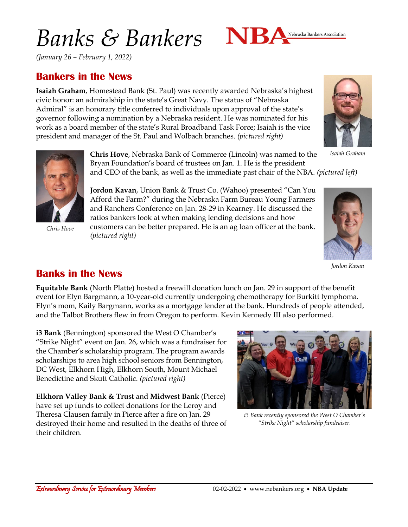# *Banks & Bankers*



*(January 26 – February 1, 2022)*

### **Bankers in the News**

**Isaiah Graham**, Homestead Bank (St. Paul) was recently awarded Nebraska's highest civic honor: an admiralship in the state's Great Navy. The status of "Nebraska Admiral" is an honorary title conferred to individuals upon approval of the state's governor following a nomination by a Nebraska resident. He was nominated for his work as a board member of the state's Rural Broadband Task Force; Isaiah is the vice president and manager of the St. Paul and Wolbach branches. *(pictured right)*



*Isaiah Graham*



*Chris Hove*

**Chris Hove**, Nebraska Bank of Commerce (Lincoln) was named to the Bryan Foundation's board of trustees on Jan. 1. He is the president and CEO of the bank, as well as the immediate past chair of the NBA. *(pictured left)*

**Jordon Kavan**, Union Bank & Trust Co. (Wahoo) presented "Can You Afford the Farm?" during the Nebraska Farm Bureau Young Farmers and Ranchers Conference on Jan. 28-29 in Kearney. He discussed the ratios bankers look at when making lending decisions and how customers can be better prepared. He is an ag loan officer at the bank. *(pictured right)*



*Jordon Kavan*

#### **Banks in the News**

**Equitable Bank** (North Platte) hosted a freewill donation lunch on Jan. 29 in support of the benefit event for Elyn Bargmann, a 10-year-old currently undergoing chemotherapy for Burkitt lymphoma. Elyn's mom, Kaily Bargmann, works as a mortgage lender at the bank. Hundreds of people attended, and the Talbot Brothers flew in from Oregon to perform. Kevin Kennedy III also performed.

**i3 Bank** (Bennington) sponsored the West O Chamber's "Strike Night" event on Jan. 26, which was a fundraiser for the Chamber's scholarship program. The program awards scholarships to area high school seniors from Bennington, DC West, Elkhorn High, Elkhorn South, Mount Michael Benedictine and Skutt Catholic. *(pictured right)*

**Elkhorn Valley Bank & Trust** and **Midwest Bank** (Pierce) have set up funds to collect donations for the Leroy and Theresa Clausen family in Pierce after a fire on Jan. 29 destroyed their home and resulted in the deaths of three of their children.



*i3 Bank recently sponsored the West O Chamber's "Strike Night" scholarship fundraiser.*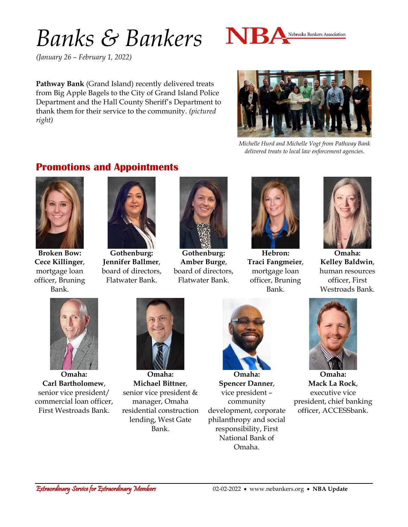### *Banks & Bankers*



*(January 26 – February 1, 2022)*

**Pathway Bank** (Grand Island) recently delivered treats from Big Apple Bagels to the City of Grand Island Police Department and the Hall County Sheriff's Department to thank them for their service to the community. *(pictured right)*



*Michelle Hurd and Michelle Vogt from Pathway Bank delivered treats to local law enforcement agencies.*

#### **Promotions and Appointments**



**Broken Bow: Cece Killinger**, mortgage loan officer, Bruning Bank.



**Gothenburg: Jennifer Ballmer**, board of directors, Flatwater Bank.



**Gothenburg: Amber Burge**, board of directors, Flatwater Bank.



**Hebron: Traci Fangmeier**, mortgage loan officer, Bruning Bank.



**Omaha: Kelley Baldwin**, human resources officer, First Westroads Bank.



**Omaha: Carl Bartholomew**, senior vice president/ commercial loan officer, First Westroads Bank.



**Omaha: Michael Bittner**, senior vice president & manager, Omaha residential construction lending, West Gate Bank.



**Omaha: Spencer Danner**, vice president – community development, corporate philanthropy and social responsibility, First National Bank of Omaha.



**Omaha: Mack La Rock**, executive vice president, chief banking officer, ACCESSbank.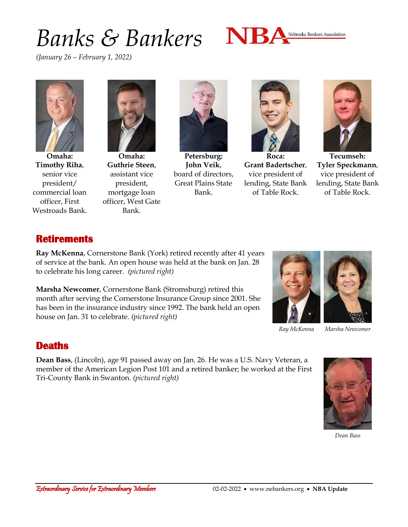## *Banks & Bankers*



*(January 26 – February 1, 2022)*



**Omaha: Timothy Riha**, senior vice president/ commercial loan officer, First Westroads Bank.



**Omaha: Guthrie Steen**, assistant vice president, mortgage loan officer, West Gate Bank.



**Petersburg: John Veik**, board of directors, Great Plains State Bank.



**Roca: Grant Badertscher**, vice president of lending, State Bank of Table Rock.



**Tecumseh: Tyler Speckmann**, vice president of lending, State Bank of Table Rock.

#### **Retirements**

**Ray McKenna**, Cornerstone Bank (York) retired recently after 41 years of service at the bank. An open house was held at the bank on Jan. 28 to celebrate his long career. *(pictured right)*

**Marsha Newcomer**, Cornerstone Bank (Stromsburg) retired this month after serving the Cornerstone Insurance Group since 2001. She has been in the insurance industry since 1992. The bank held an open house on Jan. 31 to celebrate. *(pictured right)*



*Ray McKenna Marsha Newcomer*

#### **Deaths**

**Dean Bass**, (Lincoln), age 91 passed away on Jan. 26. He was a U.S. Navy Veteran, a member of the American Legion Post 101 and a retired banker; he worked at the First Tri-County Bank in Swanton. *(pictured right)*



*Dean Bass*